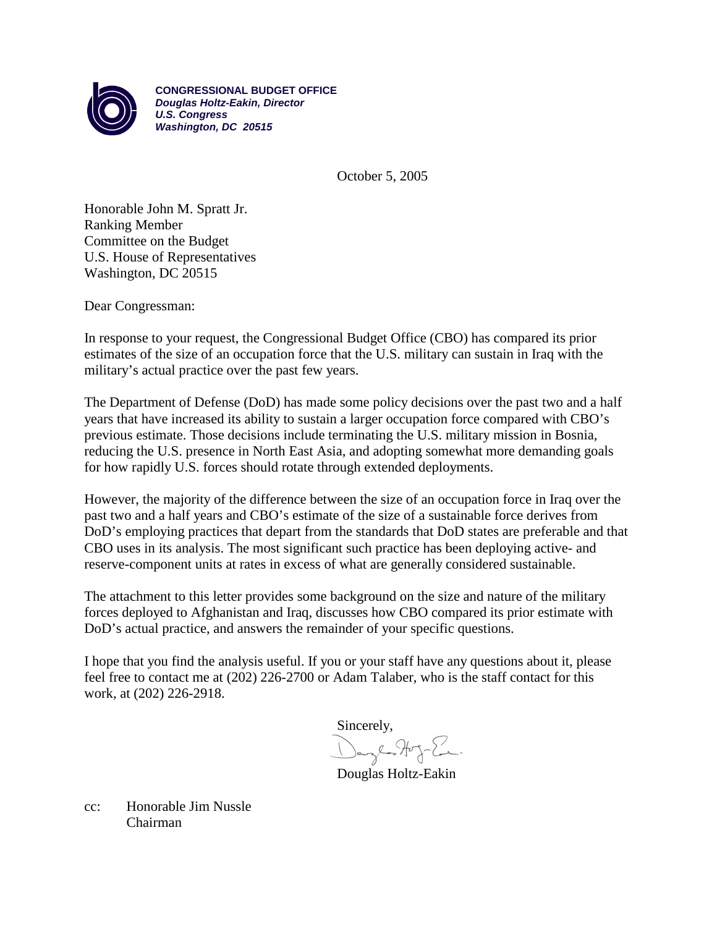

**CONGRESSIONAL BUDGET OFFICE** *Douglas Holtz-Eakin, Director U.S. Congress Washington, DC 20515*

October 5, 2005

Honorable John M. Spratt Jr. Ranking Member Committee on the Budget U.S. House of Representatives Washington, DC 20515

Dear Congressman:

In response to your request, the Congressional Budget Office (CBO) has compared its prior estimates of the size of an occupation force that the U.S. military can sustain in Iraq with the military's actual practice over the past few years.

The Department of Defense (DoD) has made some policy decisions over the past two and a half years that have increased its ability to sustain a larger occupation force compared with CBO's previous estimate. Those decisions include terminating the U.S. military mission in Bosnia, reducing the U.S. presence in North East Asia, and adopting somewhat more demanding goals for how rapidly U.S. forces should rotate through extended deployments.

However, the majority of the difference between the size of an occupation force in Iraq over the past two and a half years and CBO's estimate of the size of a sustainable force derives from DoD's employing practices that depart from the standards that DoD states are preferable and that CBO uses in its analysis. The most significant such practice has been deploying active- and reserve-component units at rates in excess of what are generally considered sustainable.

The attachment to this letter provides some background on the size and nature of the military forces deployed to Afghanistan and Iraq, discusses how CBO compared its prior estimate with DoD's actual practice, and answers the remainder of your specific questions.

I hope that you find the analysis useful. If you or your staff have any questions about it, please feel free to contact me at (202) 226-2700 or Adam Talaber, who is the staff contact for this work, at (202) 226-2918.

Sincerely, Danglos Hog-En.

Douglas Holtz-Eakin

cc: Honorable Jim Nussle Chairman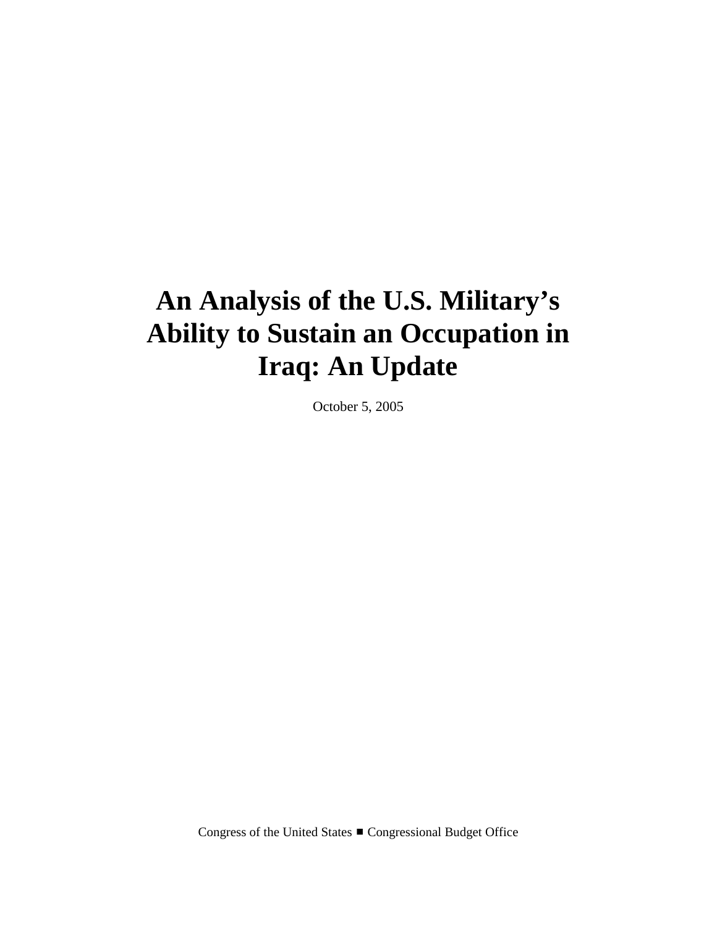# **An Analysis of the U.S. Military's Ability to Sustain an Occupation in Iraq: An Update**

October 5, 2005

Congress of the United States ■ Congressional Budget Office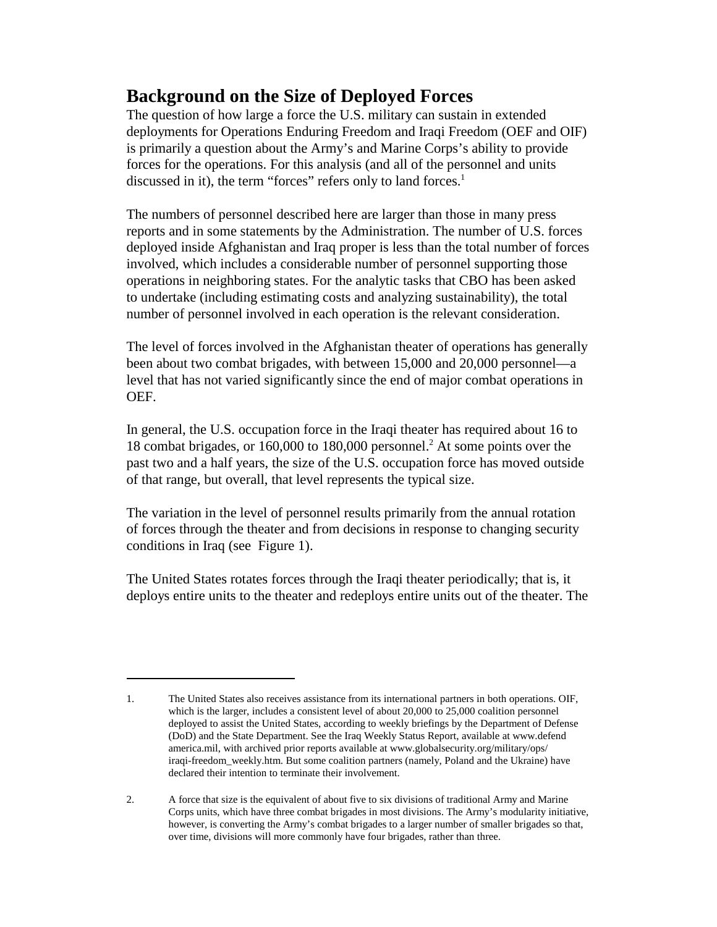# **Background on the Size of Deployed Forces**

The question of how large a force the U.S. military can sustain in extended deployments for Operations Enduring Freedom and Iraqi Freedom (OEF and OIF) is primarily a question about the Army's and Marine Corps's ability to provide forces for the operations. For this analysis (and all of the personnel and units discussed in it), the term "forces" refers only to land forces.<sup>1</sup>

The numbers of personnel described here are larger than those in many press reports and in some statements by the Administration. The number of U.S. forces deployed inside Afghanistan and Iraq proper is less than the total number of forces involved, which includes a considerable number of personnel supporting those operations in neighboring states. For the analytic tasks that CBO has been asked to undertake (including estimating costs and analyzing sustainability), the total number of personnel involved in each operation is the relevant consideration.

The level of forces involved in the Afghanistan theater of operations has generally been about two combat brigades, with between 15,000 and 20,000 personnel—a level that has not varied significantly since the end of major combat operations in OEF.

In general, the U.S. occupation force in the Iraqi theater has required about 16 to 18 combat brigades, or 160,000 to 180,000 personnel.2 At some points over the past two and a half years, the size of the U.S. occupation force has moved outside of that range, but overall, that level represents the typical size.

The variation in the level of personnel results primarily from the annual rotation of forces through the theater and from decisions in response to changing security conditions in Iraq (see Figure 1).

The United States rotates forces through the Iraqi theater periodically; that is, it deploys entire units to the theater and redeploys entire units out of the theater. The

<sup>1.</sup> The United States also receives assistance from its international partners in both operations. OIF, which is the larger, includes a consistent level of about 20,000 to 25,000 coalition personnel deployed to assist the United States, according to weekly briefings by the Department of Defense (DoD) and the State Department. See the Iraq Weekly Status Report, available at www.defend america.mil, with archived prior reports available at www.globalsecurity.org/military/ops/ iraqi-freedom\_weekly.htm. But some coalition partners (namely, Poland and the Ukraine) have declared their intention to terminate their involvement.

<sup>2.</sup> A force that size is the equivalent of about five to six divisions of traditional Army and Marine Corps units, which have three combat brigades in most divisions. The Army's modularity initiative, however, is converting the Army's combat brigades to a larger number of smaller brigades so that, over time, divisions will more commonly have four brigades, rather than three.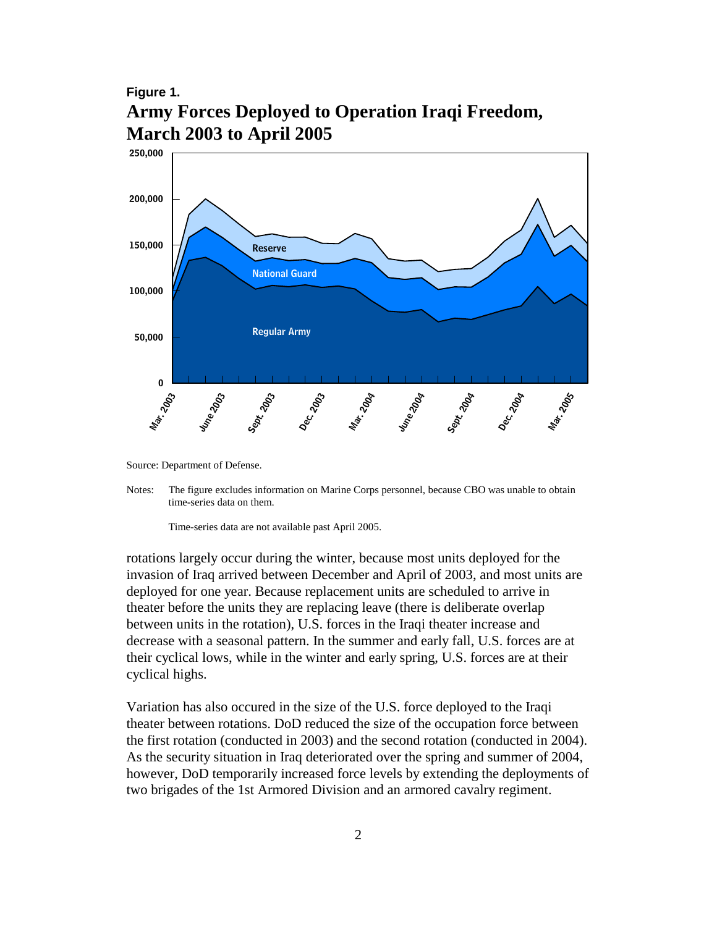#### **Figure 1. Army Forces Deployed to Operation Iraqi Freedom, March 2003 to April 2005**



Source: Department of Defense.

Time-series data are not available past April 2005.

rotations largely occur during the winter, because most units deployed for the invasion of Iraq arrived between December and April of 2003, and most units are deployed for one year. Because replacement units are scheduled to arrive in theater before the units they are replacing leave (there is deliberate overlap between units in the rotation), U.S. forces in the Iraqi theater increase and decrease with a seasonal pattern. In the summer and early fall, U.S. forces are at their cyclical lows, while in the winter and early spring, U.S. forces are at their cyclical highs.

Variation has also occured in the size of the U.S. force deployed to the Iraqi theater between rotations. DoD reduced the size of the occupation force between the first rotation (conducted in 2003) and the second rotation (conducted in 2004). As the security situation in Iraq deteriorated over the spring and summer of 2004, however, DoD temporarily increased force levels by extending the deployments of two brigades of the 1st Armored Division and an armored cavalry regiment.

Notes: The figure excludes information on Marine Corps personnel, because CBO was unable to obtain time-series data on them.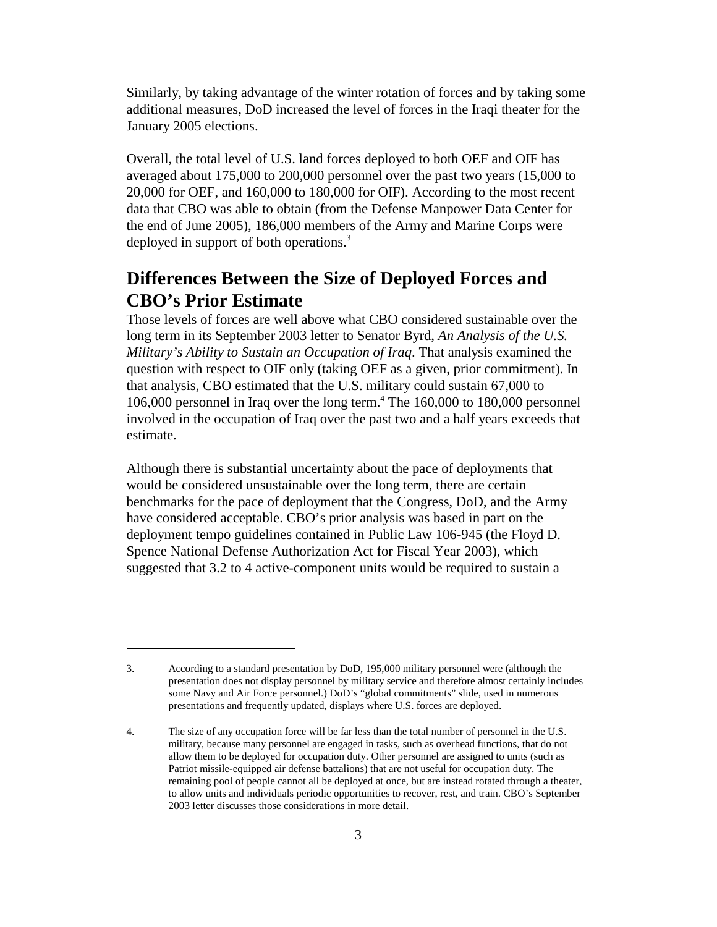Similarly, by taking advantage of the winter rotation of forces and by taking some additional measures, DoD increased the level of forces in the Iraqi theater for the January 2005 elections.

Overall, the total level of U.S. land forces deployed to both OEF and OIF has averaged about 175,000 to 200,000 personnel over the past two years (15,000 to 20,000 for OEF, and 160,000 to 180,000 for OIF). According to the most recent data that CBO was able to obtain (from the Defense Manpower Data Center for the end of June 2005), 186,000 members of the Army and Marine Corps were deployed in support of both operations.<sup>3</sup>

## **Differences Between the Size of Deployed Forces and CBO's Prior Estimate**

Those levels of forces are well above what CBO considered sustainable over the long term in its September 2003 letter to Senator Byrd, *An Analysis of the U.S. Military's Ability to Sustain an Occupation of Iraq*. That analysis examined the question with respect to OIF only (taking OEF as a given, prior commitment). In that analysis, CBO estimated that the U.S. military could sustain 67,000 to 106,000 personnel in Iraq over the long term. $4$  The 160,000 to 180,000 personnel involved in the occupation of Iraq over the past two and a half years exceeds that estimate.

Although there is substantial uncertainty about the pace of deployments that would be considered unsustainable over the long term, there are certain benchmarks for the pace of deployment that the Congress, DoD, and the Army have considered acceptable. CBO's prior analysis was based in part on the deployment tempo guidelines contained in Public Law 106-945 (the Floyd D. Spence National Defense Authorization Act for Fiscal Year 2003), which suggested that 3.2 to 4 active-component units would be required to sustain a

<sup>3.</sup> According to a standard presentation by DoD, 195,000 military personnel were (although the presentation does not display personnel by military service and therefore almost certainly includes some Navy and Air Force personnel.) DoD's "global commitments" slide, used in numerous presentations and frequently updated, displays where U.S. forces are deployed.

<sup>4.</sup> The size of any occupation force will be far less than the total number of personnel in the U.S. military, because many personnel are engaged in tasks, such as overhead functions, that do not allow them to be deployed for occupation duty. Other personnel are assigned to units (such as Patriot missile-equipped air defense battalions) that are not useful for occupation duty. The remaining pool of people cannot all be deployed at once, but are instead rotated through a theater, to allow units and individuals periodic opportunities to recover, rest, and train. CBO's September 2003 letter discusses those considerations in more detail.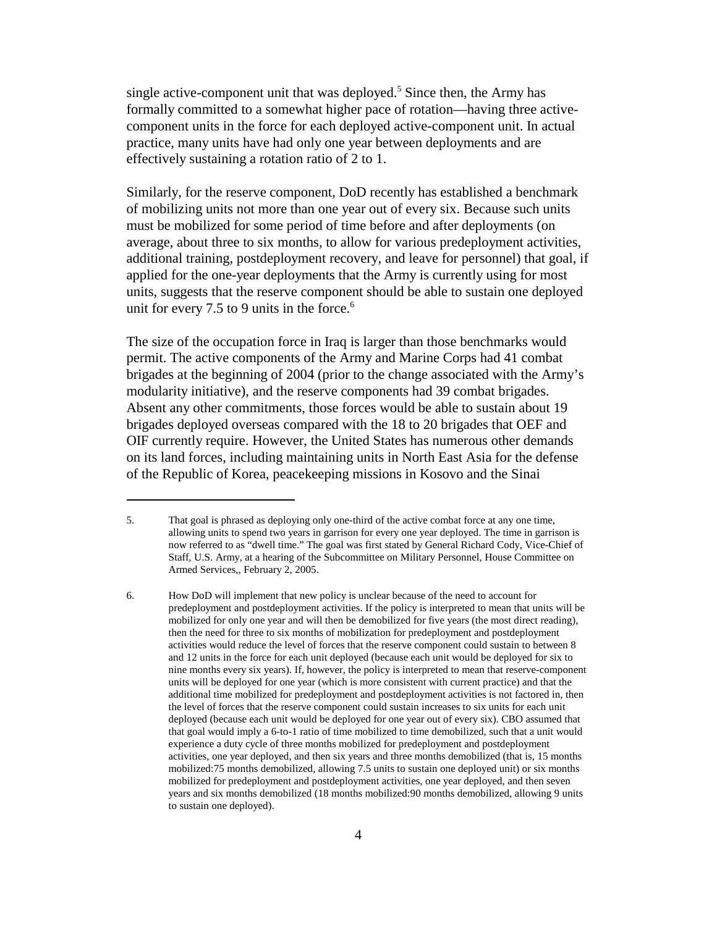single active-component unit that was deployed.<sup>5</sup> Since then, the Army has formally committed to a somewhat higher pace of rotation—having three activecomponent units in the force for each deployed active-component unit. In actual practice, many units have had only one year between deployments and are effectively sustaining a rotation ratio of 2 to 1.

Similarly, for the reserve component, DoD recently has established a benchmark of mobilizing units not more than one year out of every six. Because such units must be mobilized for some period of time before and after deployments (on average, about three to six months, to allow for various predeployment activities, additional training, postdeployment recovery, and leave for personnel) that goal, if applied for the one-year deployments that the Army is currently using for most units, suggests that the reserve component should be able to sustain one deployed unit for every 7.5 to 9 units in the force.<sup>6</sup>

The size of the occupation force in Iraq is larger than those benchmarks would permit. The active components of the Army and Marine Corps had 41 combat brigades at the beginning of 2004 (prior to the change associated with the Army's modularity initiative), and the reserve components had 39 combat brigades. Absent any other commitments, those forces would be able to sustain about 19 brigades deployed overseas compared with the 18 to 20 brigades that OEF and OIF currently require. However, the United States has numerous other demands on its land forces, including maintaining units in North East Asia for the defense of the Republic of Korea, peacekeeping missions in Kosovo and the Sinai

<sup>5.</sup> That goal is phrased as deploying only one-third of the active combat force at any one time, allowing units to spend two years in garrison for every one year deployed. The time in garrison is now referred to as "dwell time." The goal was first stated by General Richard Cody, Vice-Chief of Staff, U.S. Army, at a hearing of the Subcommittee on Military Personnel, House Committee on Armed Services,, February 2, 2005.

<sup>6.</sup> How DoD will implement that new policy is unclear because of the need to account for predeployment and postdeployment activities. If the policy is interpreted to mean that units will be mobilized for only one year and will then be demobilized for five years (the most direct reading), then the need for three to six months of mobilization for predeployment and postdeployment activities would reduce the level of forces that the reserve component could sustain to between 8 and 12 units in the force for each unit deployed (because each unit would be deployed for six to nine months every six years). If, however, the policy is interpreted to mean that reserve-component units will be deployed for one year (which is more consistent with current practice) and that the additional time mobilized for predeployment and postdeployment activities is not factored in, then the level of forces that the reserve component could sustain increases to six units for each unit deployed (because each unit would be deployed for one year out of every six). CBO assumed that that goal would imply a 6-to-1 ratio of time mobilized to time demobilized, such that a unit would experience a duty cycle of three months mobilized for predeployment and postdeployment activities, one year deployed, and then six years and three months demobilized (that is, 15 months mobilized:75 months demobilized, allowing 7.5 units to sustain one deployed unit) or six months mobilized for predeployment and postdeployment activities, one year deployed, and then seven years and six months demobilized (18 months mobilized:90 months demobilized, allowing 9 units to sustain one deployed).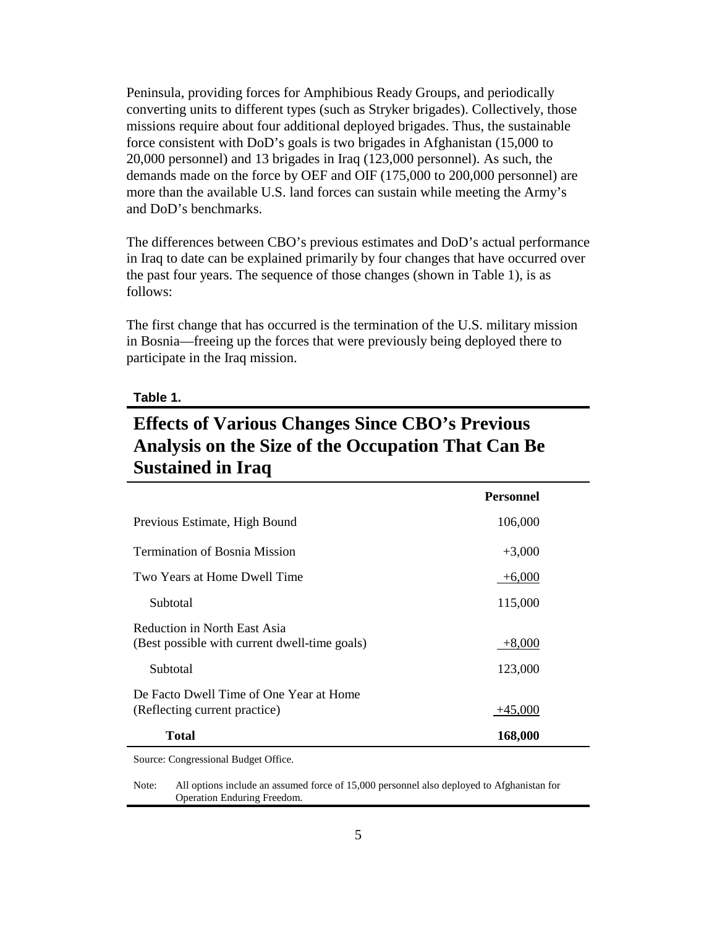Peninsula, providing forces for Amphibious Ready Groups, and periodically converting units to different types (such as Stryker brigades). Collectively, those missions require about four additional deployed brigades. Thus, the sustainable force consistent with DoD's goals is two brigades in Afghanistan (15,000 to 20,000 personnel) and 13 brigades in Iraq (123,000 personnel). As such, the demands made on the force by OEF and OIF (175,000 to 200,000 personnel) are more than the available U.S. land forces can sustain while meeting the Army's and DoD's benchmarks.

The differences between CBO's previous estimates and DoD's actual performance in Iraq to date can be explained primarily by four changes that have occurred over the past four years. The sequence of those changes (shown in Table 1), is as follows:

The first change that has occurred is the termination of the U.S. military mission in Bosnia—freeing up the forces that were previously being deployed there to participate in the Iraq mission.

#### **Table 1.**

## **Effects of Various Changes Since CBO's Previous Analysis on the Size of the Occupation That Can Be Sustained in Iraq**

|                                                                               | <b>Personnel</b> |  |
|-------------------------------------------------------------------------------|------------------|--|
| Previous Estimate, High Bound                                                 | 106,000          |  |
| <b>Termination of Bosnia Mission</b>                                          | $+3,000$         |  |
| Two Years at Home Dwell Time                                                  | $+6,000$         |  |
| Subtotal                                                                      | 115,000          |  |
| Reduction in North East Asia<br>(Best possible with current dwell-time goals) | $+8,000$         |  |
| Subtotal                                                                      | 123,000          |  |
| De Facto Dwell Time of One Year at Home<br>(Reflecting current practice)      | $+45,000$        |  |
| Total                                                                         | 168,000          |  |

Source: Congressional Budget Office.

Note: All options include an assumed force of 15,000 personnel also deployed to Afghanistan for Operation Enduring Freedom.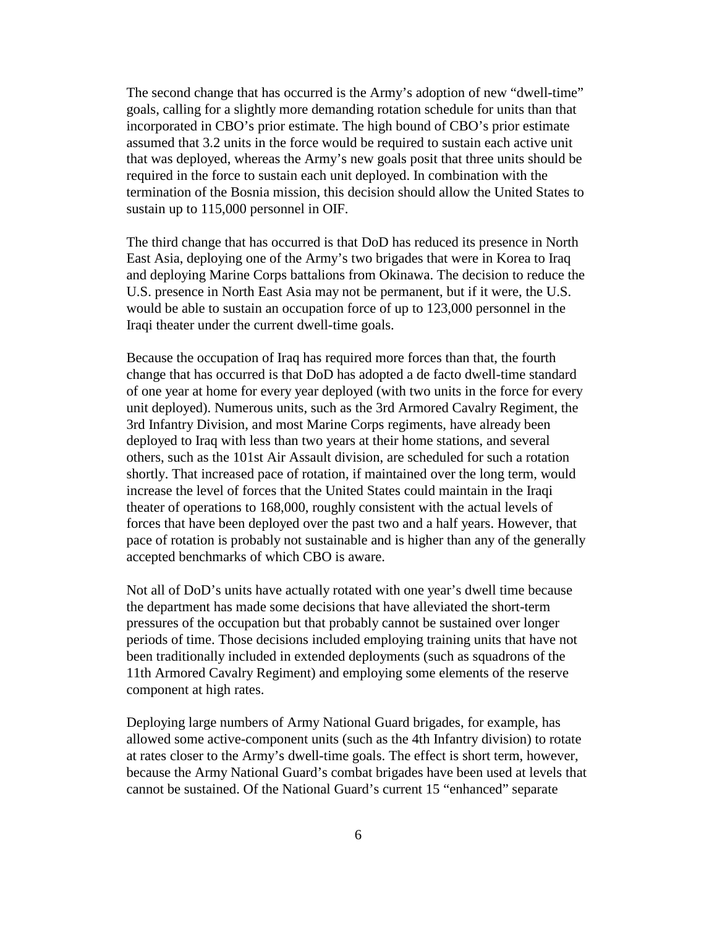The second change that has occurred is the Army's adoption of new "dwell-time" goals, calling for a slightly more demanding rotation schedule for units than that incorporated in CBO's prior estimate. The high bound of CBO's prior estimate assumed that 3.2 units in the force would be required to sustain each active unit that was deployed, whereas the Army's new goals posit that three units should be required in the force to sustain each unit deployed. In combination with the termination of the Bosnia mission, this decision should allow the United States to sustain up to  $115,000$  personnel in OIF.

The third change that has occurred is that DoD has reduced its presence in North East Asia, deploying one of the Army's two brigades that were in Korea to Iraq and deploying Marine Corps battalions from Okinawa. The decision to reduce the U.S. presence in North East Asia may not be permanent, but if it were, the U.S. would be able to sustain an occupation force of up to 123,000 personnel in the Iraqi theater under the current dwell-time goals.

Because the occupation of Iraq has required more forces than that, the fourth change that has occurred is that DoD has adopted a de facto dwell-time standard of one year at home for every year deployed (with two units in the force for every unit deployed). Numerous units, such as the 3rd Armored Cavalry Regiment, the 3rd Infantry Division, and most Marine Corps regiments, have already been deployed to Iraq with less than two years at their home stations, and several others, such as the 101st Air Assault division, are scheduled for such a rotation shortly. That increased pace of rotation, if maintained over the long term, would increase the level of forces that the United States could maintain in the Iraqi theater of operations to 168,000, roughly consistent with the actual levels of forces that have been deployed over the past two and a half years. However, that pace of rotation is probably not sustainable and is higher than any of the generally accepted benchmarks of which CBO is aware.

Not all of DoD's units have actually rotated with one year's dwell time because the department has made some decisions that have alleviated the short-term pressures of the occupation but that probably cannot be sustained over longer periods of time. Those decisions included employing training units that have not been traditionally included in extended deployments (such as squadrons of the 11th Armored Cavalry Regiment) and employing some elements of the reserve component at high rates.

Deploying large numbers of Army National Guard brigades, for example, has allowed some active-component units (such as the 4th Infantry division) to rotate at rates closer to the Army's dwell-time goals. The effect is short term, however, because the Army National Guard's combat brigades have been used at levels that cannot be sustained. Of the National Guard's current 15 "enhanced" separate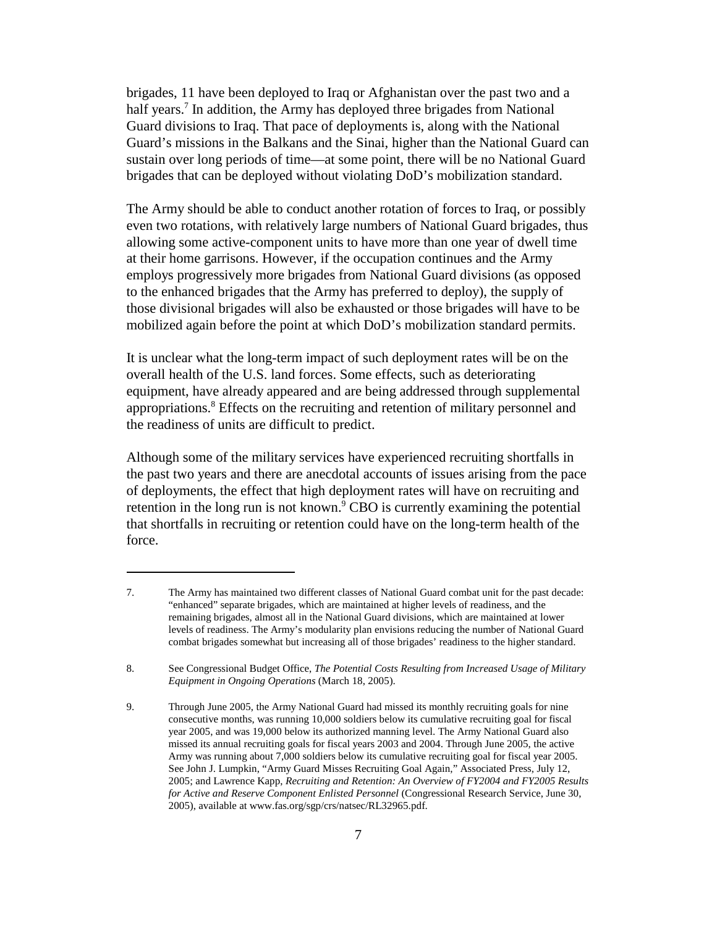brigades, 11 have been deployed to Iraq or Afghanistan over the past two and a half years.<sup>7</sup> In addition, the Army has deployed three brigades from National Guard divisions to Iraq. That pace of deployments is, along with the National Guard's missions in the Balkans and the Sinai, higher than the National Guard can sustain over long periods of time—at some point, there will be no National Guard brigades that can be deployed without violating DoD's mobilization standard.

The Army should be able to conduct another rotation of forces to Iraq, or possibly even two rotations, with relatively large numbers of National Guard brigades, thus allowing some active-component units to have more than one year of dwell time at their home garrisons. However, if the occupation continues and the Army employs progressively more brigades from National Guard divisions (as opposed to the enhanced brigades that the Army has preferred to deploy), the supply of those divisional brigades will also be exhausted or those brigades will have to be mobilized again before the point at which DoD's mobilization standard permits.

It is unclear what the long-term impact of such deployment rates will be on the overall health of the U.S. land forces. Some effects, such as deteriorating equipment, have already appeared and are being addressed through supplemental appropriations.8 Effects on the recruiting and retention of military personnel and the readiness of units are difficult to predict.

Although some of the military services have experienced recruiting shortfalls in the past two years and there are anecdotal accounts of issues arising from the pace of deployments, the effect that high deployment rates will have on recruiting and retention in the long run is not known. $\degree$  CBO is currently examining the potential that shortfalls in recruiting or retention could have on the long-term health of the force.

<sup>7.</sup> The Army has maintained two different classes of National Guard combat unit for the past decade: "enhanced" separate brigades, which are maintained at higher levels of readiness, and the remaining brigades, almost all in the National Guard divisions, which are maintained at lower levels of readiness. The Army's modularity plan envisions reducing the number of National Guard combat brigades somewhat but increasing all of those brigades' readiness to the higher standard.

<sup>8.</sup> See Congressional Budget Office, *The Potential Costs Resulting from Increased Usage of Military Equipment in Ongoing Operations* (March 18, 2005).

<sup>9.</sup> Through June 2005, the Army National Guard had missed its monthly recruiting goals for nine consecutive months, was running 10,000 soldiers below its cumulative recruiting goal for fiscal year 2005, and was 19,000 below its authorized manning level. The Army National Guard also missed its annual recruiting goals for fiscal years 2003 and 2004. Through June 2005, the active Army was running about 7,000 soldiers below its cumulative recruiting goal for fiscal year 2005. See John J. Lumpkin, "Army Guard Misses Recruiting Goal Again," Associated Press, July 12, 2005; and Lawrence Kapp, *Recruiting and Retention: An Overview of FY2004 and FY2005 Results for Active and Reserve Component Enlisted Personnel* (Congressional Research Service, June 30, 2005), available at www.fas.org/sgp/crs/natsec/RL32965.pdf.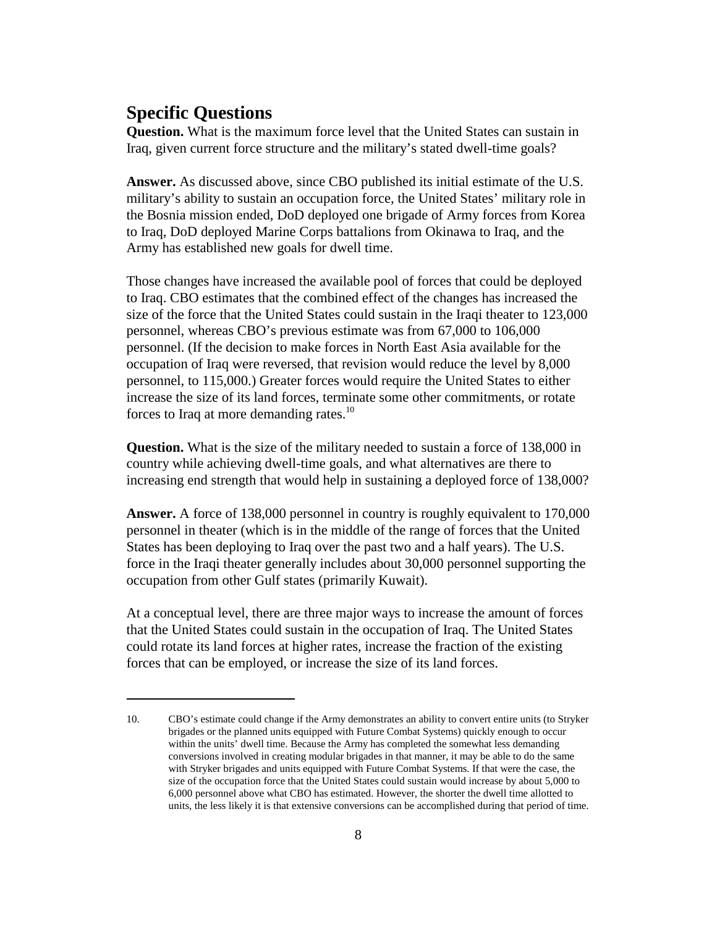#### **Specific Questions**

**Question.** What is the maximum force level that the United States can sustain in Iraq, given current force structure and the military's stated dwell-time goals?

**Answer.** As discussed above, since CBO published its initial estimate of the U.S. military's ability to sustain an occupation force, the United States' military role in the Bosnia mission ended, DoD deployed one brigade of Army forces from Korea to Iraq, DoD deployed Marine Corps battalions from Okinawa to Iraq, and the Army has established new goals for dwell time.

Those changes have increased the available pool of forces that could be deployed to Iraq. CBO estimates that the combined effect of the changes has increased the size of the force that the United States could sustain in the Iraqi theater to 123,000 personnel, whereas CBO's previous estimate was from 67,000 to 106,000 personnel. (If the decision to make forces in North East Asia available for the occupation of Iraq were reversed, that revision would reduce the level by 8,000 personnel, to 115,000.) Greater forces would require the United States to either increase the size of its land forces, terminate some other commitments, or rotate forces to Iraq at more demanding rates.<sup>10</sup>

**Question.** What is the size of the military needed to sustain a force of 138,000 in country while achieving dwell-time goals, and what alternatives are there to increasing end strength that would help in sustaining a deployed force of 138,000?

**Answer.** A force of 138,000 personnel in country is roughly equivalent to 170,000 personnel in theater (which is in the middle of the range of forces that the United States has been deploying to Iraq over the past two and a half years). The U.S. force in the Iraqi theater generally includes about 30,000 personnel supporting the occupation from other Gulf states (primarily Kuwait).

At a conceptual level, there are three major ways to increase the amount of forces that the United States could sustain in the occupation of Iraq. The United States could rotate its land forces at higher rates, increase the fraction of the existing forces that can be employed, or increase the size of its land forces.

<sup>10.</sup> CBO's estimate could change if the Army demonstrates an ability to convert entire units (to Stryker brigades or the planned units equipped with Future Combat Systems) quickly enough to occur within the units' dwell time. Because the Army has completed the somewhat less demanding conversions involved in creating modular brigades in that manner, it may be able to do the same with Stryker brigades and units equipped with Future Combat Systems. If that were the case, the size of the occupation force that the United States could sustain would increase by about 5,000 to 6,000 personnel above what CBO has estimated. However, the shorter the dwell time allotted to units, the less likely it is that extensive conversions can be accomplished during that period of time.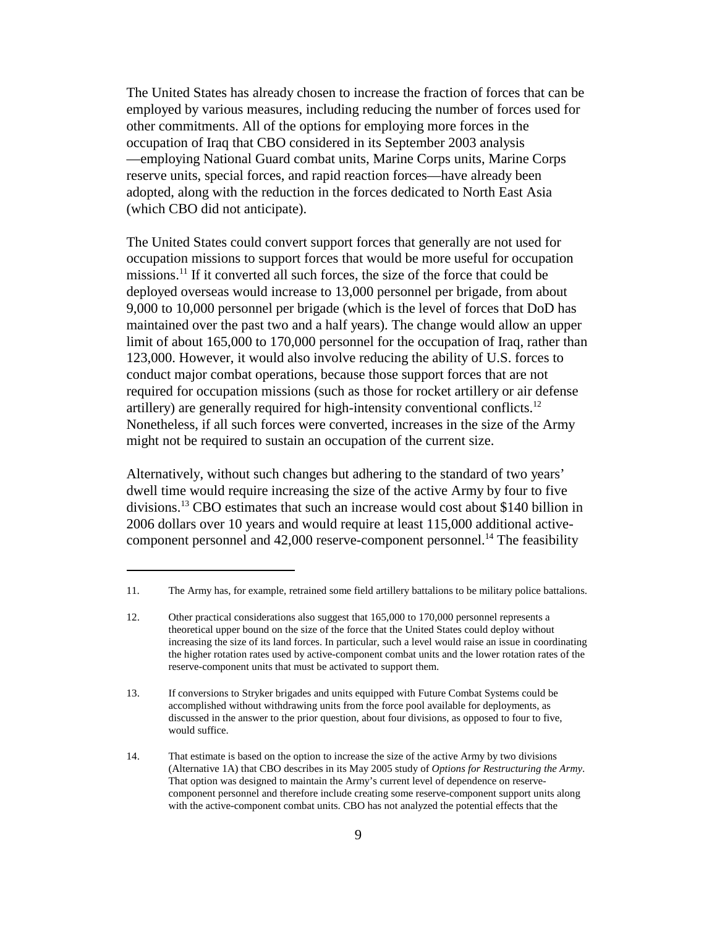The United States has already chosen to increase the fraction of forces that can be employed by various measures, including reducing the number of forces used for other commitments. All of the options for employing more forces in the occupation of Iraq that CBO considered in its September 2003 analysis —employing National Guard combat units, Marine Corps units, Marine Corps reserve units, special forces, and rapid reaction forces—have already been adopted, along with the reduction in the forces dedicated to North East Asia (which CBO did not anticipate).

The United States could convert support forces that generally are not used for occupation missions to support forces that would be more useful for occupation missions.11 If it converted all such forces, the size of the force that could be deployed overseas would increase to 13,000 personnel per brigade, from about 9,000 to 10,000 personnel per brigade (which is the level of forces that DoD has maintained over the past two and a half years). The change would allow an upper limit of about 165,000 to 170,000 personnel for the occupation of Iraq, rather than 123,000. However, it would also involve reducing the ability of U.S. forces to conduct major combat operations, because those support forces that are not required for occupation missions (such as those for rocket artillery or air defense artillery) are generally required for high-intensity conventional conflicts.<sup>12</sup> Nonetheless, if all such forces were converted, increases in the size of the Army might not be required to sustain an occupation of the current size.

Alternatively, without such changes but adhering to the standard of two years' dwell time would require increasing the size of the active Army by four to five divisions.13 CBO estimates that such an increase would cost about \$140 billion in 2006 dollars over 10 years and would require at least 115,000 additional activecomponent personnel and  $42,000$  reserve-component personnel.<sup>14</sup> The feasibility

<sup>11.</sup> The Army has, for example, retrained some field artillery battalions to be military police battalions.

<sup>12.</sup> Other practical considerations also suggest that 165,000 to 170,000 personnel represents a theoretical upper bound on the size of the force that the United States could deploy without increasing the size of its land forces. In particular, such a level would raise an issue in coordinating the higher rotation rates used by active-component combat units and the lower rotation rates of the reserve-component units that must be activated to support them.

<sup>13.</sup> If conversions to Stryker brigades and units equipped with Future Combat Systems could be accomplished without withdrawing units from the force pool available for deployments, as discussed in the answer to the prior question, about four divisions, as opposed to four to five, would suffice.

<sup>14.</sup> That estimate is based on the option to increase the size of the active Army by two divisions (Alternative 1A) that CBO describes in its May 2005 study of *Options for Restructuring the Army*. That option was designed to maintain the Army's current level of dependence on reservecomponent personnel and therefore include creating some reserve-component support units along with the active-component combat units. CBO has not analyzed the potential effects that the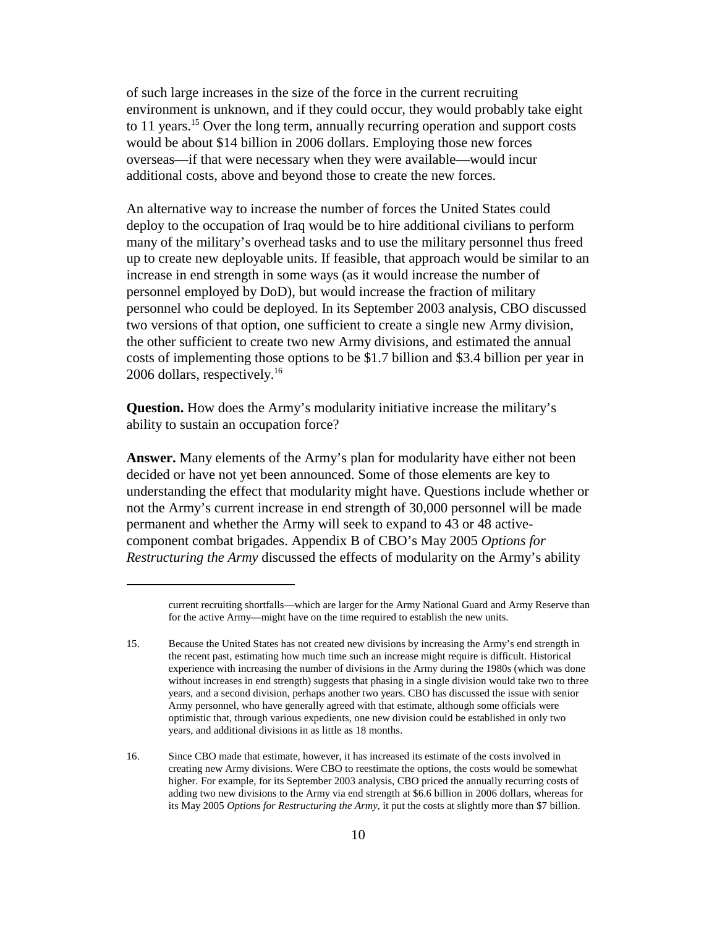of such large increases in the size of the force in the current recruiting environment is unknown, and if they could occur, they would probably take eight to 11 years.<sup>15</sup> Over the long term, annually recurring operation and support costs would be about \$14 billion in 2006 dollars. Employing those new forces overseas—if that were necessary when they were available—would incur additional costs, above and beyond those to create the new forces.

An alternative way to increase the number of forces the United States could deploy to the occupation of Iraq would be to hire additional civilians to perform many of the military's overhead tasks and to use the military personnel thus freed up to create new deployable units. If feasible, that approach would be similar to an increase in end strength in some ways (as it would increase the number of personnel employed by DoD), but would increase the fraction of military personnel who could be deployed. In its September 2003 analysis, CBO discussed two versions of that option, one sufficient to create a single new Army division, the other sufficient to create two new Army divisions, and estimated the annual costs of implementing those options to be \$1.7 billion and \$3.4 billion per year in 2006 dollars, respectively.<sup>16</sup>

**Question.** How does the Army's modularity initiative increase the military's ability to sustain an occupation force?

**Answer.** Many elements of the Army's plan for modularity have either not been decided or have not yet been announced. Some of those elements are key to understanding the effect that modularity might have. Questions include whether or not the Army's current increase in end strength of 30,000 personnel will be made permanent and whether the Army will seek to expand to 43 or 48 activecomponent combat brigades. Appendix B of CBO's May 2005 *Options for Restructuring the Army* discussed the effects of modularity on the Army's ability

current recruiting shortfalls—which are larger for the Army National Guard and Army Reserve than for the active Army—might have on the time required to establish the new units.

<sup>15.</sup> Because the United States has not created new divisions by increasing the Army's end strength in the recent past, estimating how much time such an increase might require is difficult. Historical experience with increasing the number of divisions in the Army during the 1980s (which was done without increases in end strength) suggests that phasing in a single division would take two to three years, and a second division, perhaps another two years. CBO has discussed the issue with senior Army personnel, who have generally agreed with that estimate, although some officials were optimistic that, through various expedients, one new division could be established in only two years, and additional divisions in as little as 18 months.

<sup>16.</sup> Since CBO made that estimate, however, it has increased its estimate of the costs involved in creating new Army divisions. Were CBO to reestimate the options, the costs would be somewhat higher. For example, for its September 2003 analysis, CBO priced the annually recurring costs of adding two new divisions to the Army via end strength at \$6.6 billion in 2006 dollars, whereas for its May 2005 *Options for Restructuring the Army*, it put the costs at slightly more than \$7 billion.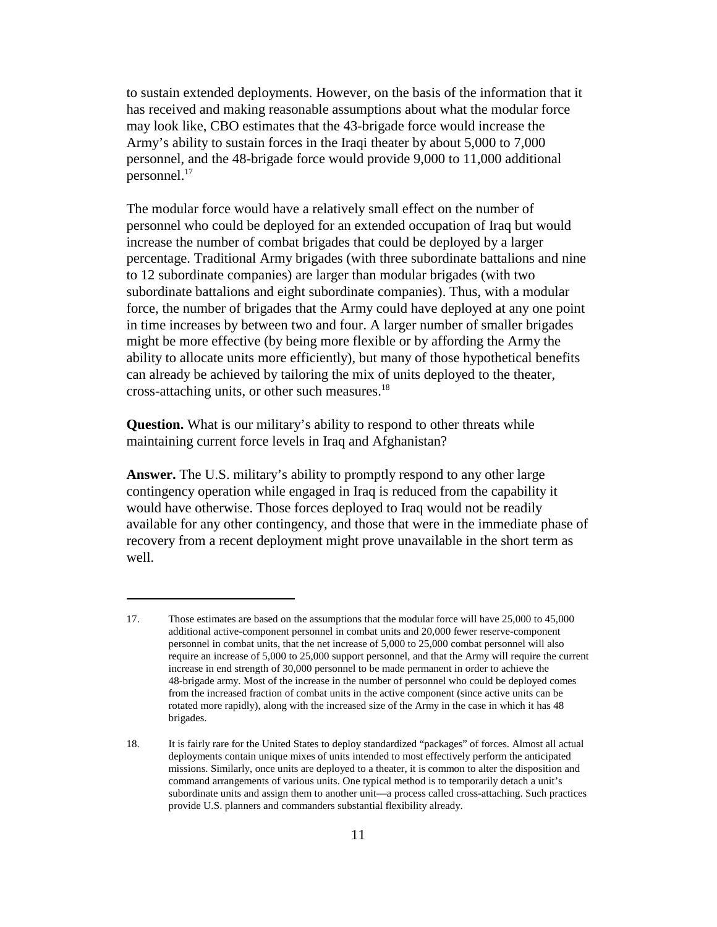to sustain extended deployments. However, on the basis of the information that it has received and making reasonable assumptions about what the modular force may look like, CBO estimates that the 43-brigade force would increase the Army's ability to sustain forces in the Iraqi theater by about 5,000 to 7,000 personnel, and the 48-brigade force would provide 9,000 to 11,000 additional personnel.17

The modular force would have a relatively small effect on the number of personnel who could be deployed for an extended occupation of Iraq but would increase the number of combat brigades that could be deployed by a larger percentage. Traditional Army brigades (with three subordinate battalions and nine to 12 subordinate companies) are larger than modular brigades (with two subordinate battalions and eight subordinate companies). Thus, with a modular force, the number of brigades that the Army could have deployed at any one point in time increases by between two and four. A larger number of smaller brigades might be more effective (by being more flexible or by affording the Army the ability to allocate units more efficiently), but many of those hypothetical benefits can already be achieved by tailoring the mix of units deployed to the theater, cross-attaching units, or other such measures.18

**Question.** What is our military's ability to respond to other threats while maintaining current force levels in Iraq and Afghanistan?

**Answer.** The U.S. military's ability to promptly respond to any other large contingency operation while engaged in Iraq is reduced from the capability it would have otherwise. Those forces deployed to Iraq would not be readily available for any other contingency, and those that were in the immediate phase of recovery from a recent deployment might prove unavailable in the short term as well.

<sup>17.</sup> Those estimates are based on the assumptions that the modular force will have 25,000 to 45,000 additional active-component personnel in combat units and 20,000 fewer reserve-component personnel in combat units, that the net increase of 5,000 to 25,000 combat personnel will also require an increase of 5,000 to 25,000 support personnel, and that the Army will require the current increase in end strength of 30,000 personnel to be made permanent in order to achieve the 48-brigade army. Most of the increase in the number of personnel who could be deployed comes from the increased fraction of combat units in the active component (since active units can be rotated more rapidly), along with the increased size of the Army in the case in which it has 48 brigades.

<sup>18.</sup> It is fairly rare for the United States to deploy standardized "packages" of forces. Almost all actual deployments contain unique mixes of units intended to most effectively perform the anticipated missions. Similarly, once units are deployed to a theater, it is common to alter the disposition and command arrangements of various units. One typical method is to temporarily detach a unit's subordinate units and assign them to another unit—a process called cross-attaching. Such practices provide U.S. planners and commanders substantial flexibility already.